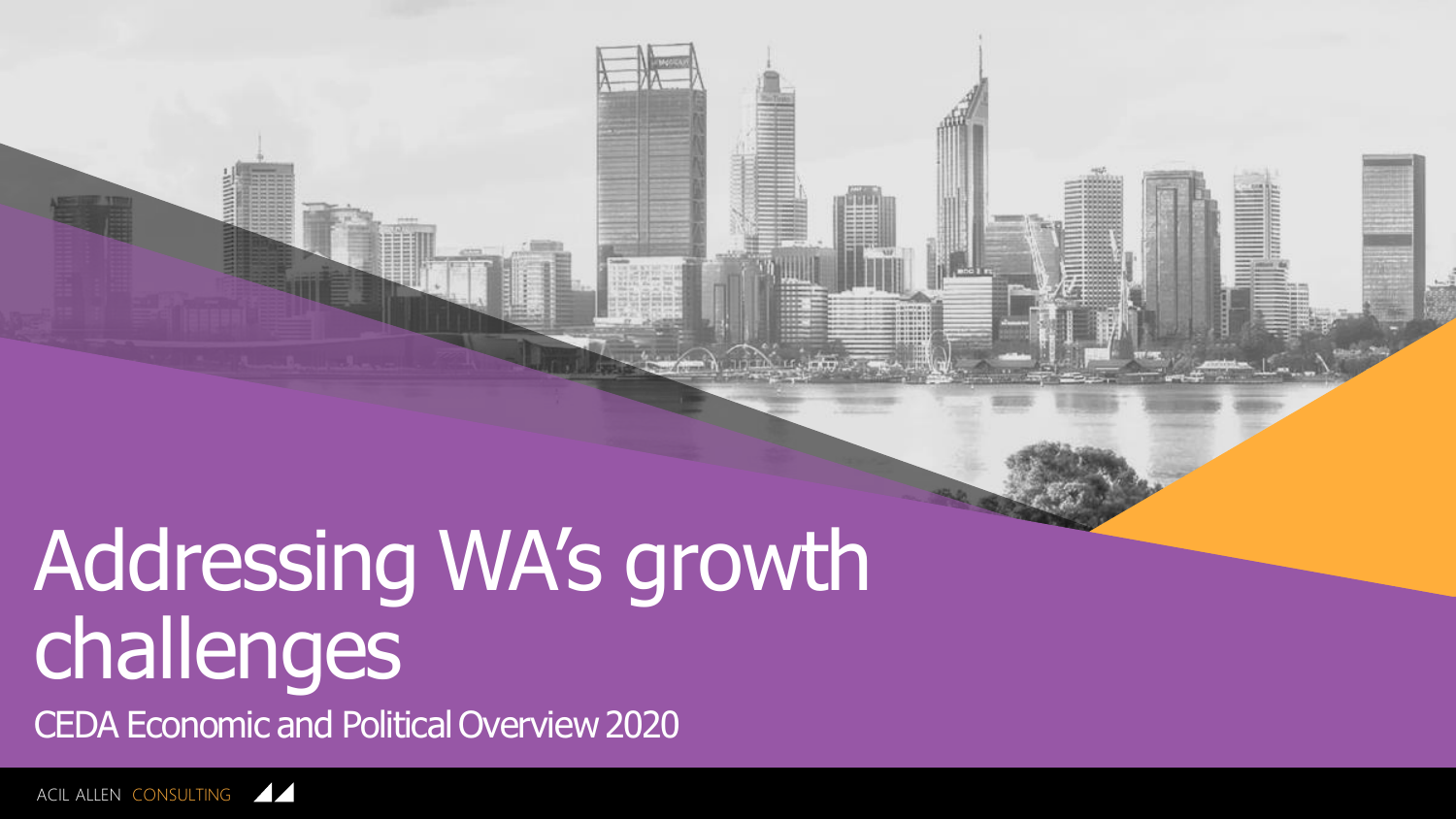

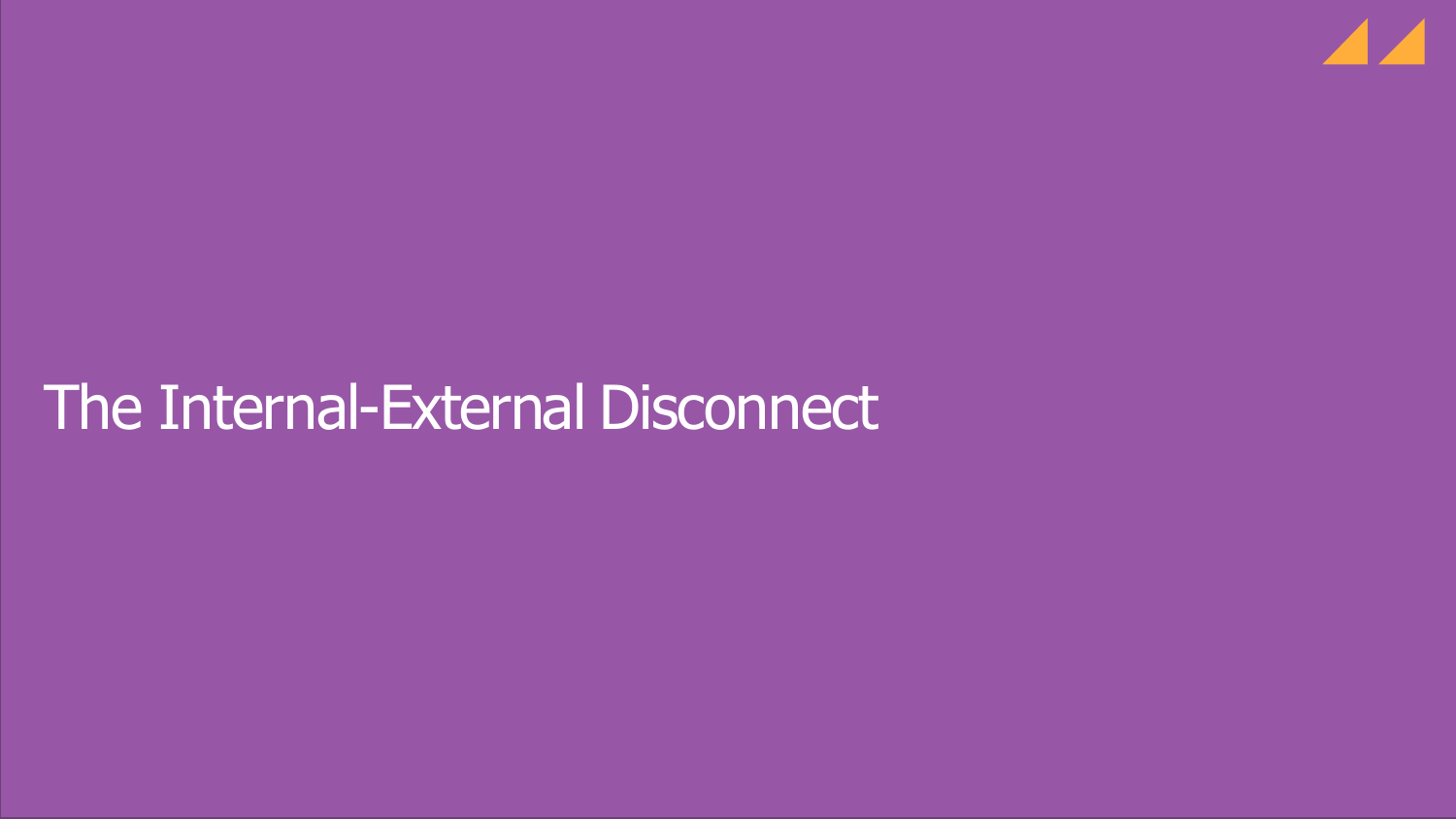

# The Internal-External Disconnect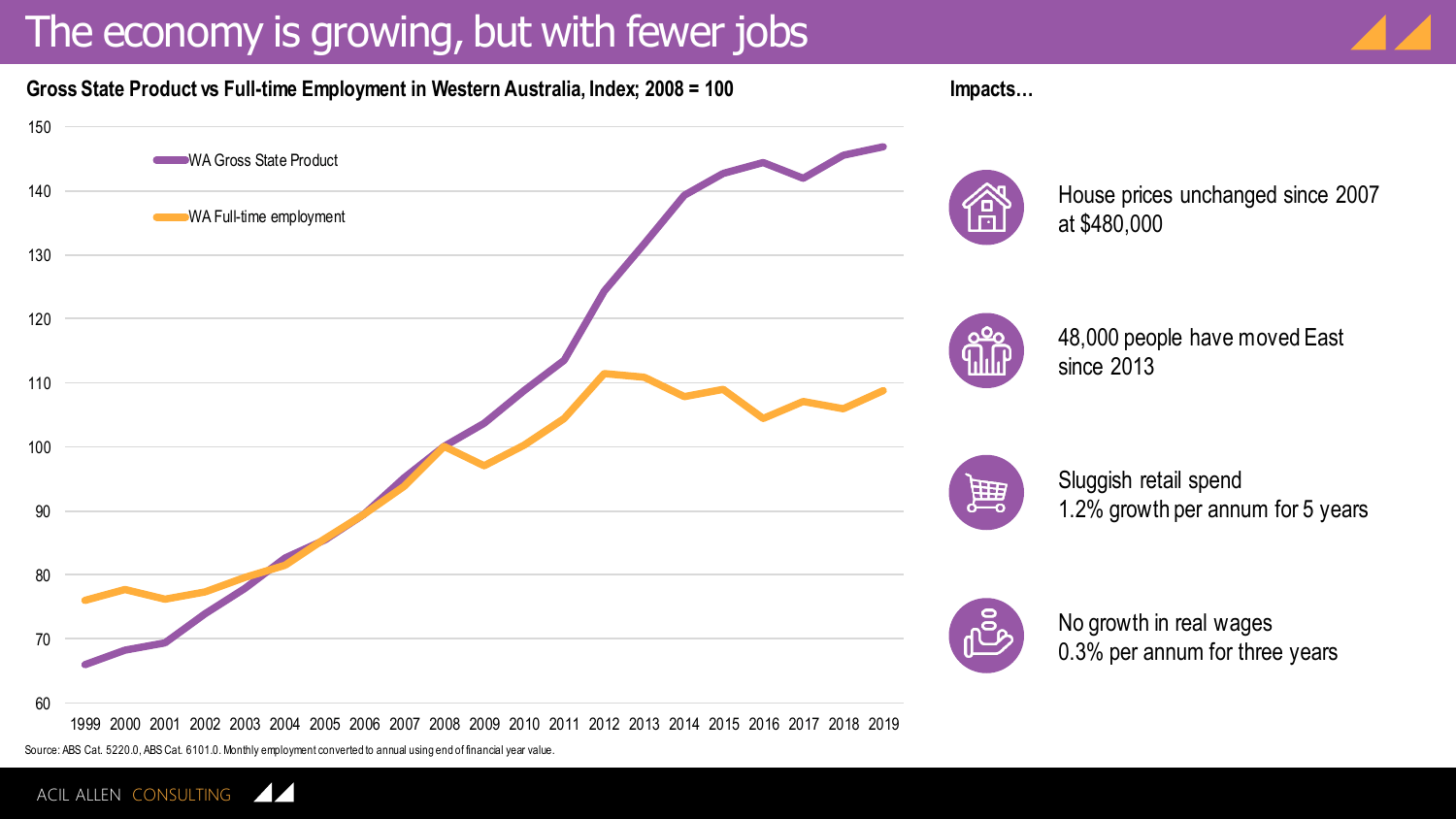### The economy is growing, but with fewer jobs





Source: ABS Cat. 5220.0, ABS Cat. 6101.0. Monthly employment converted to annual using end of financial year value.

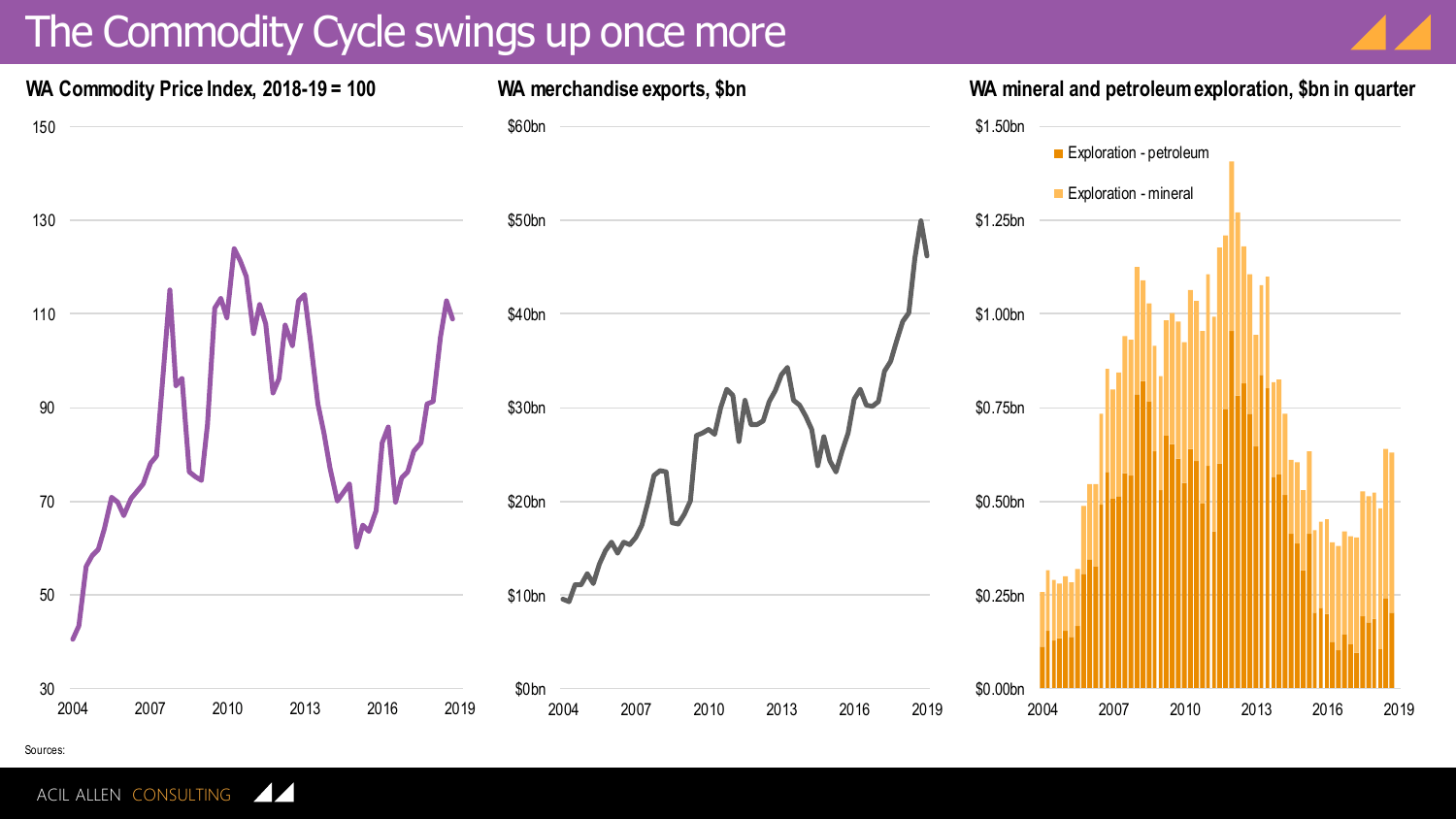#### The Commodity Cycle swings up once more





Sources:

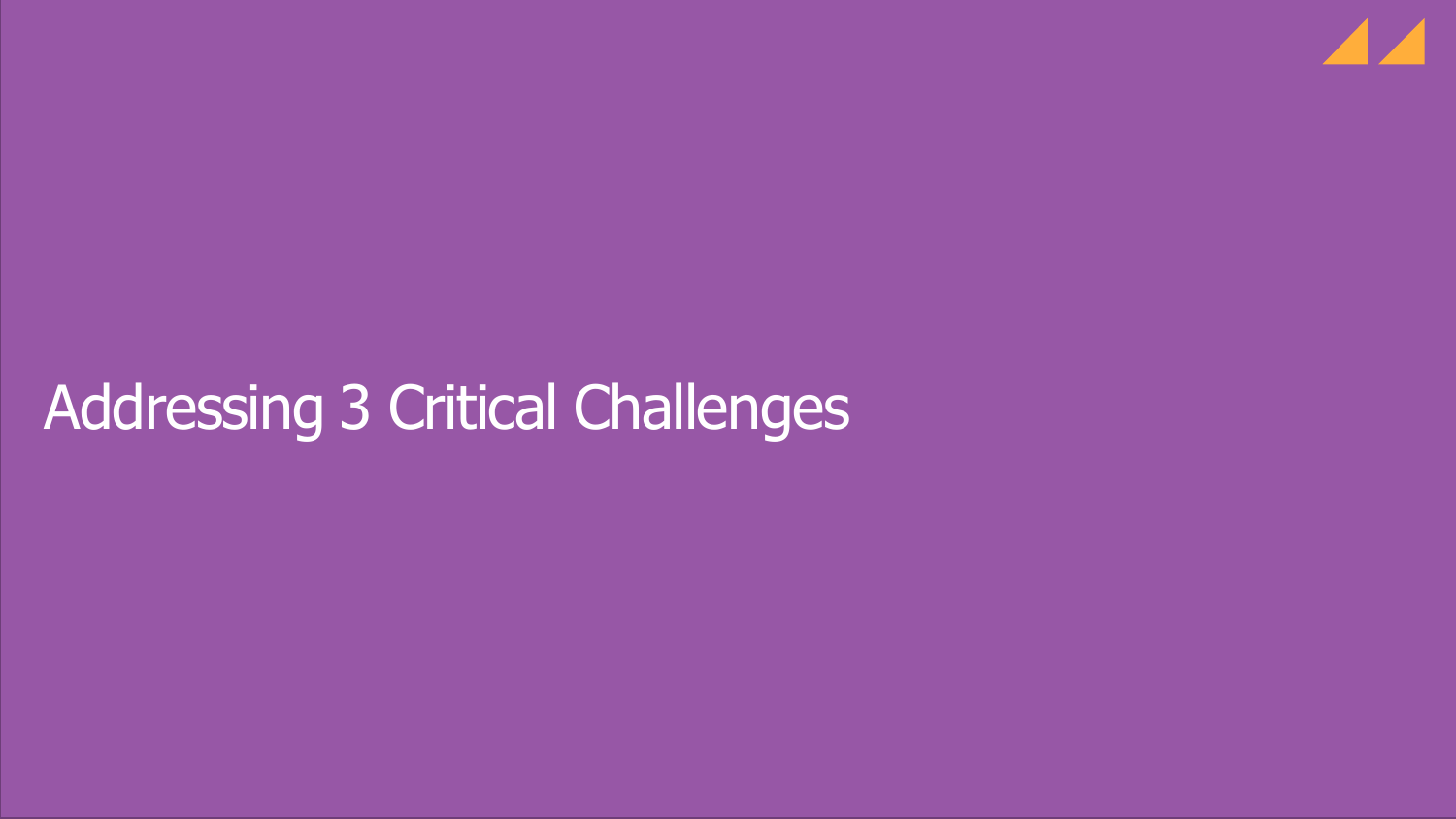

# Addressing 3 Critical Challenges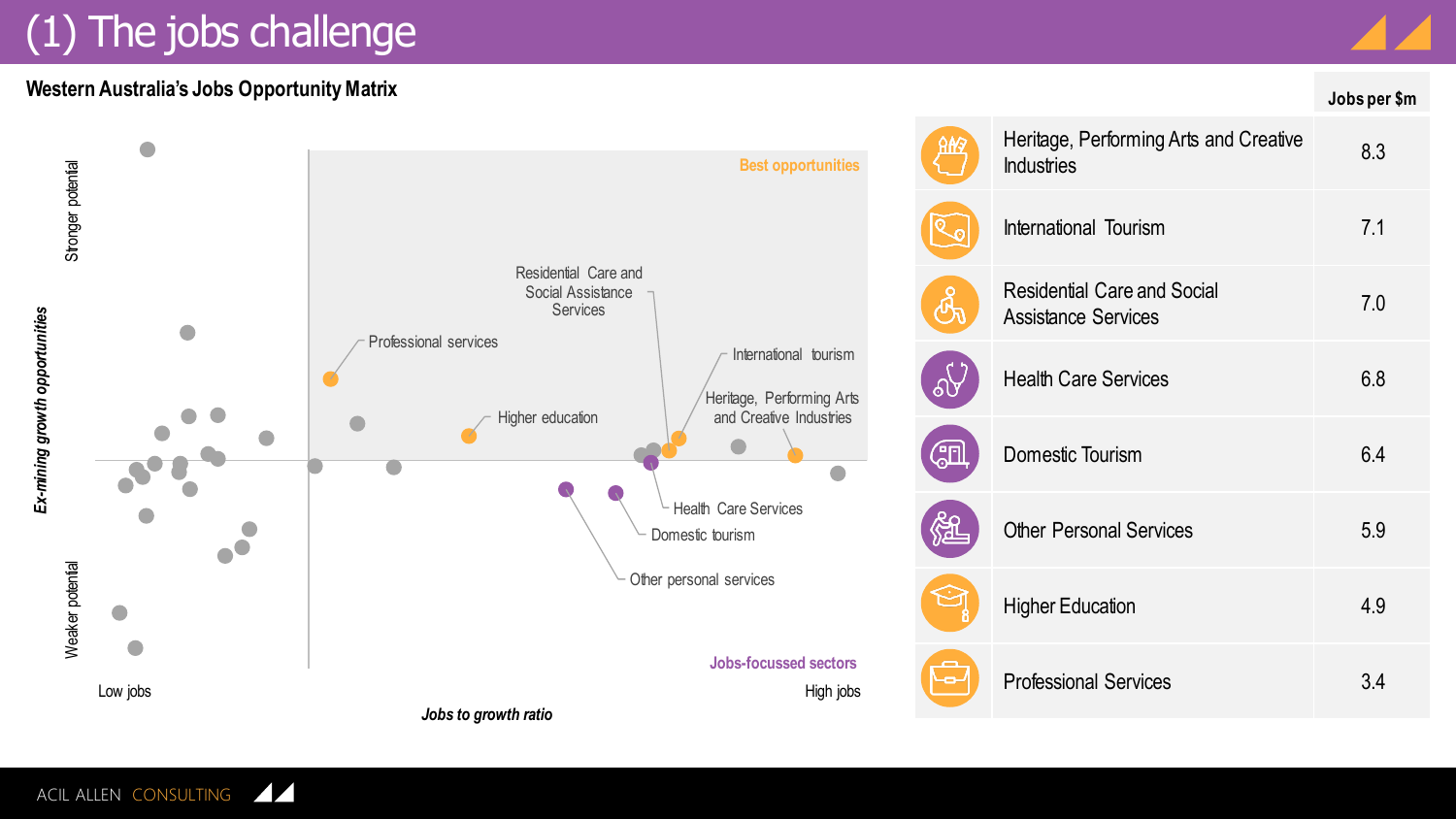## (1) The jobs challenge

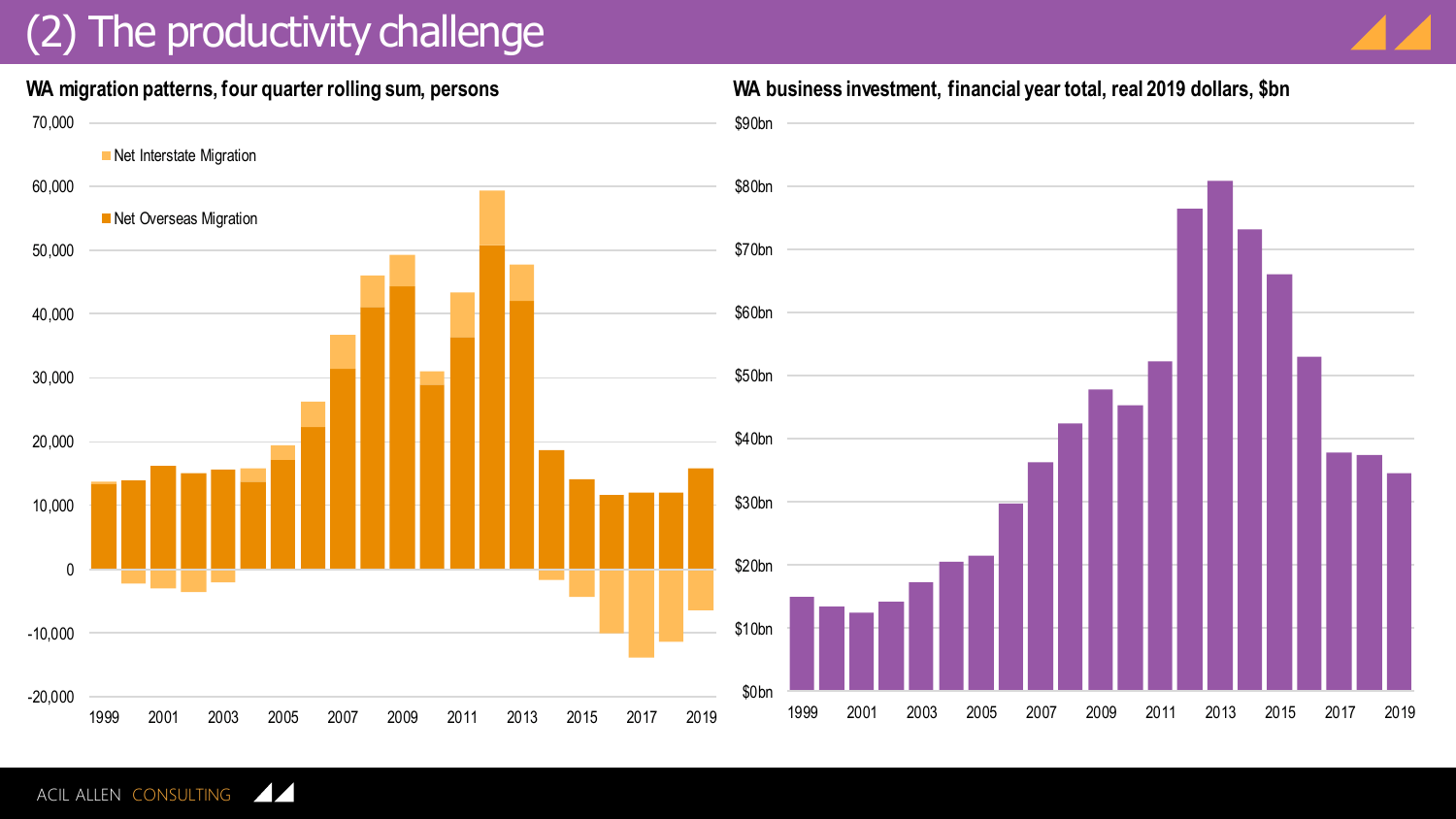### (2) The productivity challenge



#### **WA migration patterns, four quarter rolling sum, persons WA business investment, financial year total, real 2019 dollars, \$bn**



ACIL ALLEN CONSULTING  $\sqrt{2}$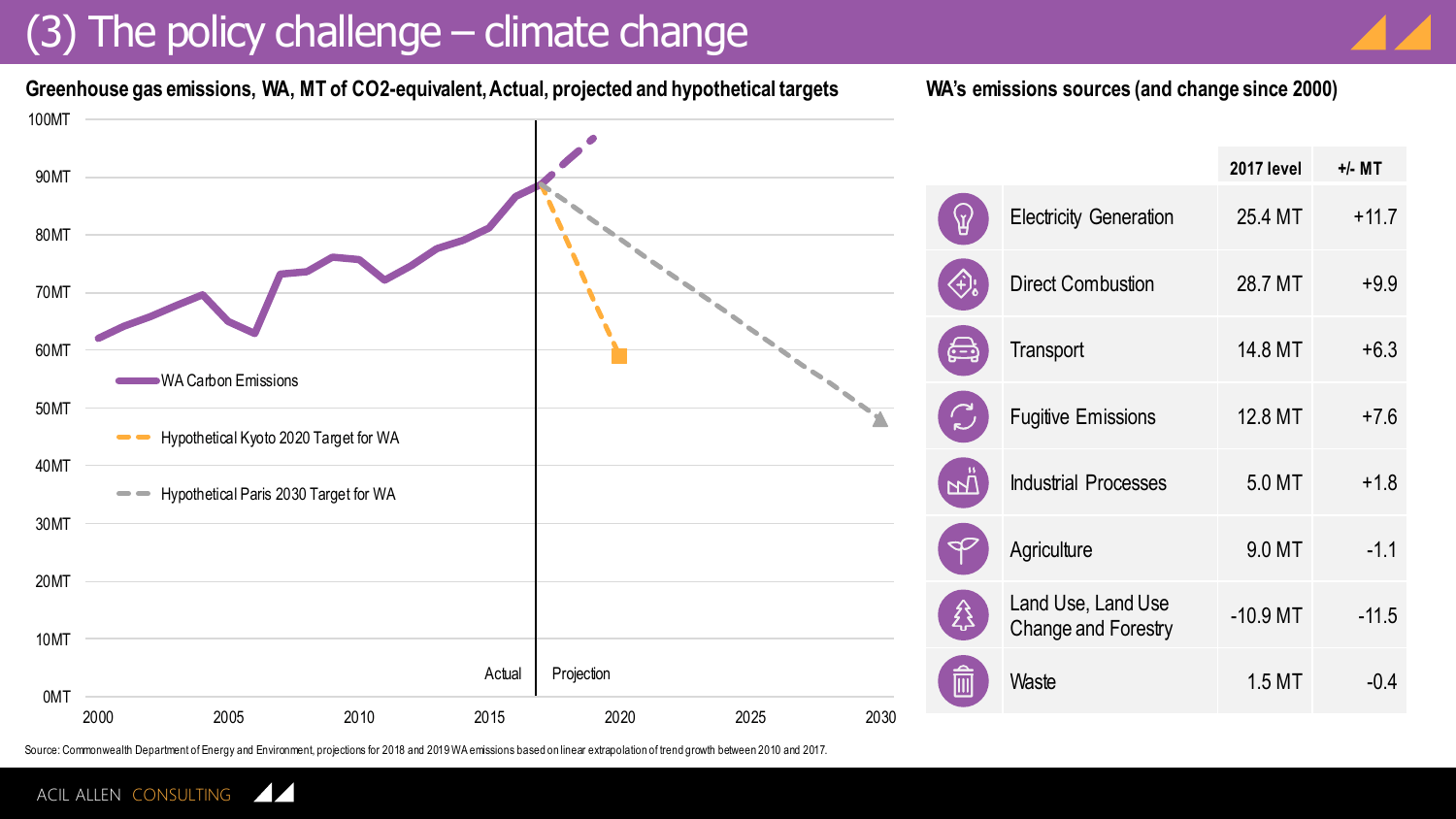### (3) The policy challenge – climate change



**Greenhouse gas emissions, WA, MT of CO2-equivalent, Actual, projected and hypothetical targets**

**WA's emissions sources (and change since 2000)**



Source: Commonwealth Department of Energy and Environment, projections for 2018 and 2019 WA emissions based on linear extrapolation of trend growth between 2010 and 2017.

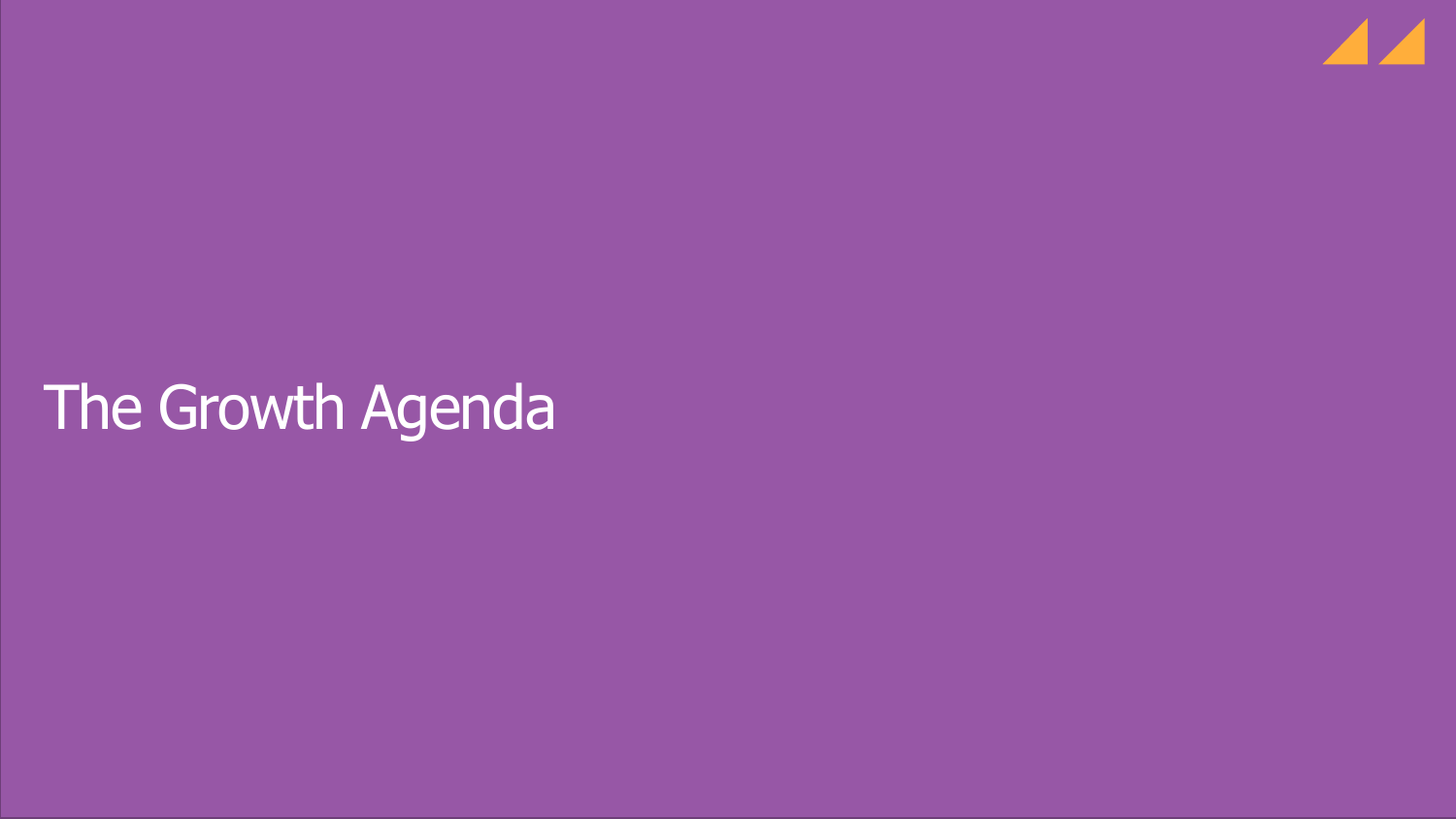

# The Growth Agenda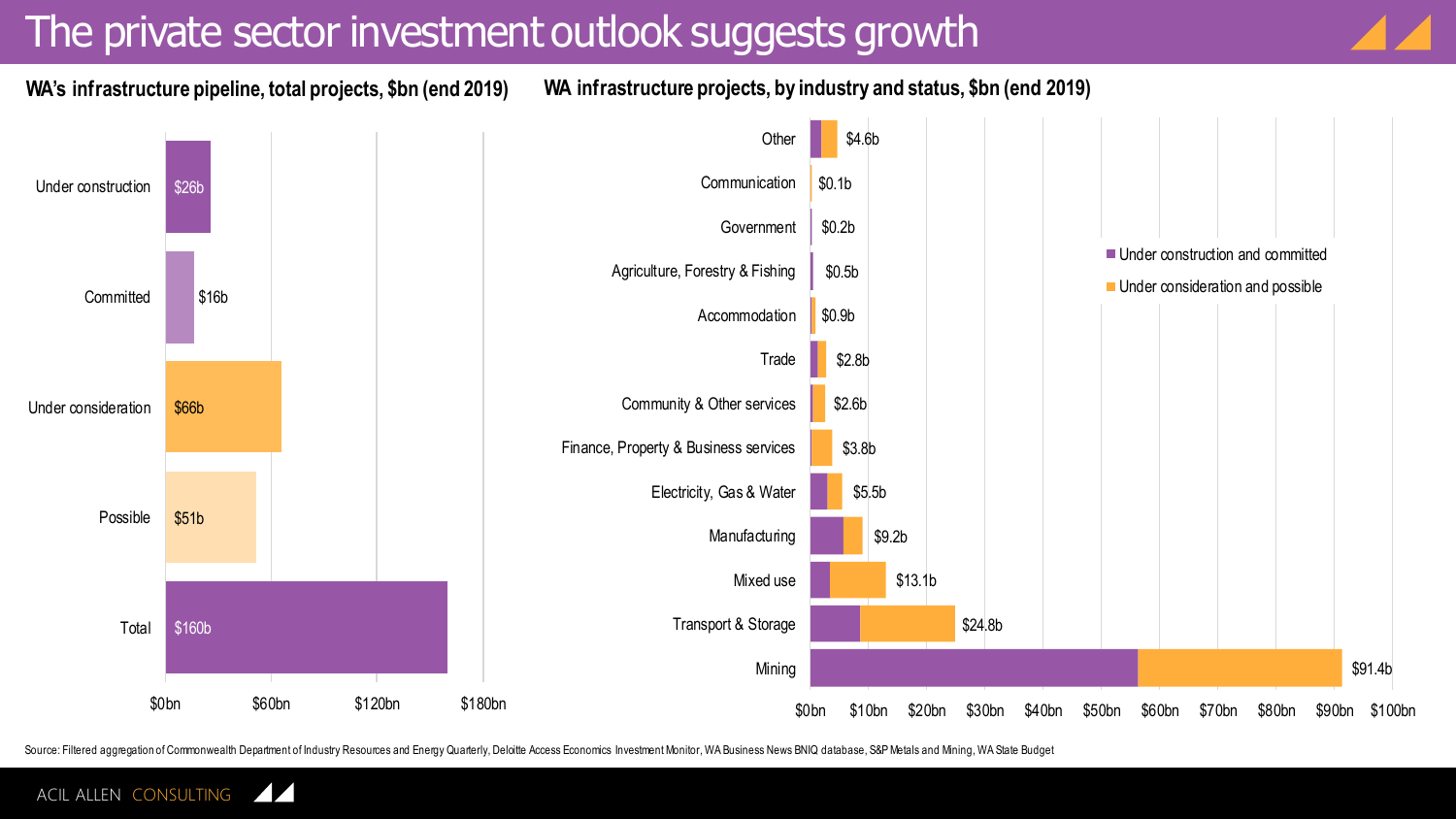#### The private sector investment outlook suggests growth



**WA's infrastructure pipeline, total projects, \$bn (end 2019)**

**WA infrastructure projects, by industry and status, \$bn (end 2019)**



Source: Filtered aggregation of Commonwealth Department of Industry Resources and Energy Quarterly, Deloitte Access Economics Investment Monitor, WA Business News BNIQ database, S&P Metals and Mining, WA State Budget

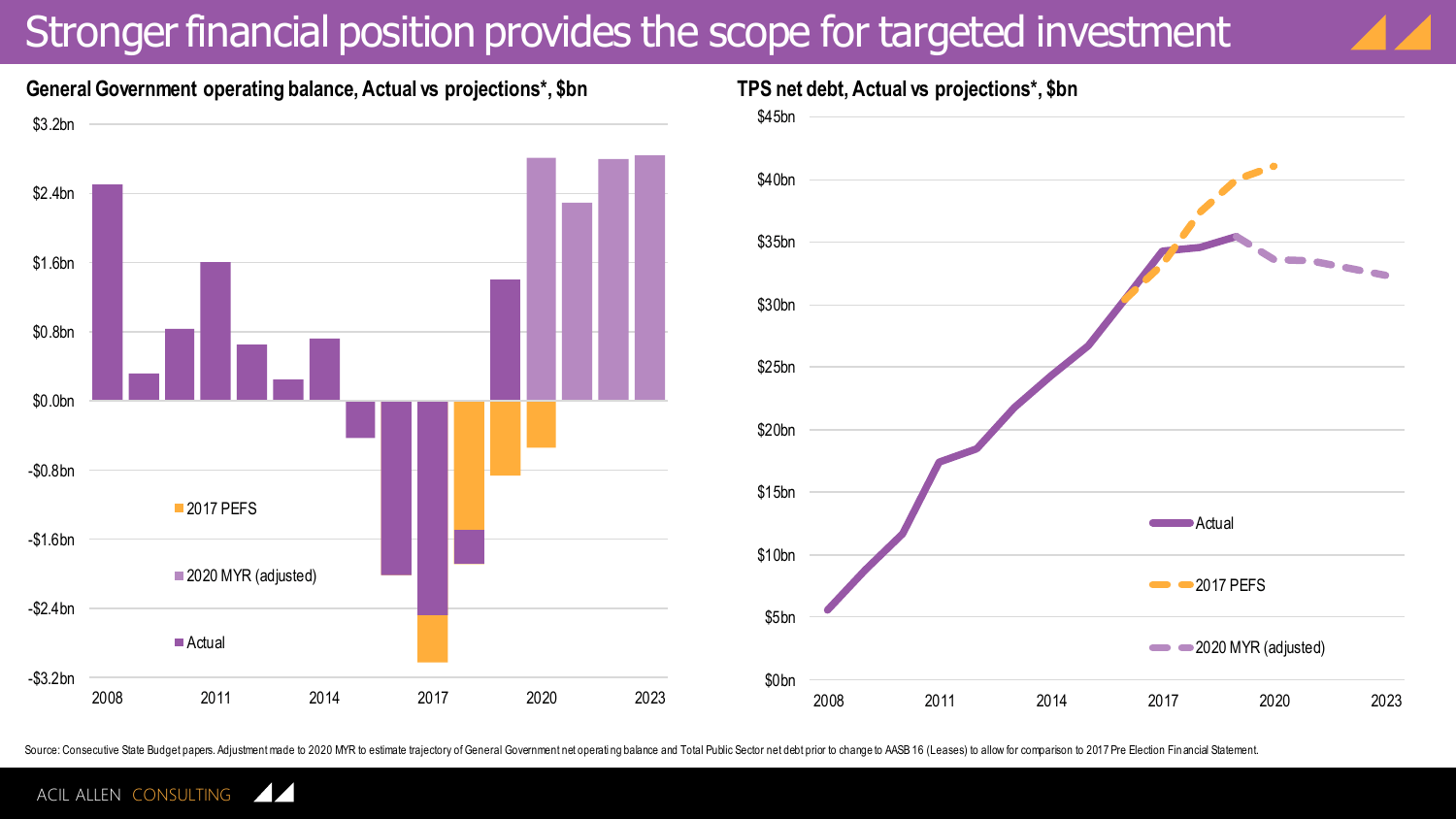### Stronger financial position provides the scope for targeted investment





#### **General Government operating balance, Actual vs projections\*, \$bn**



Source: Consecutive State Budget papers. Adjustment made to 2020 M/R to estimate trajectory of General Government net operating balance and Total Public Sector net debt prior to change to AASB 16 (Leases) to allow for comp